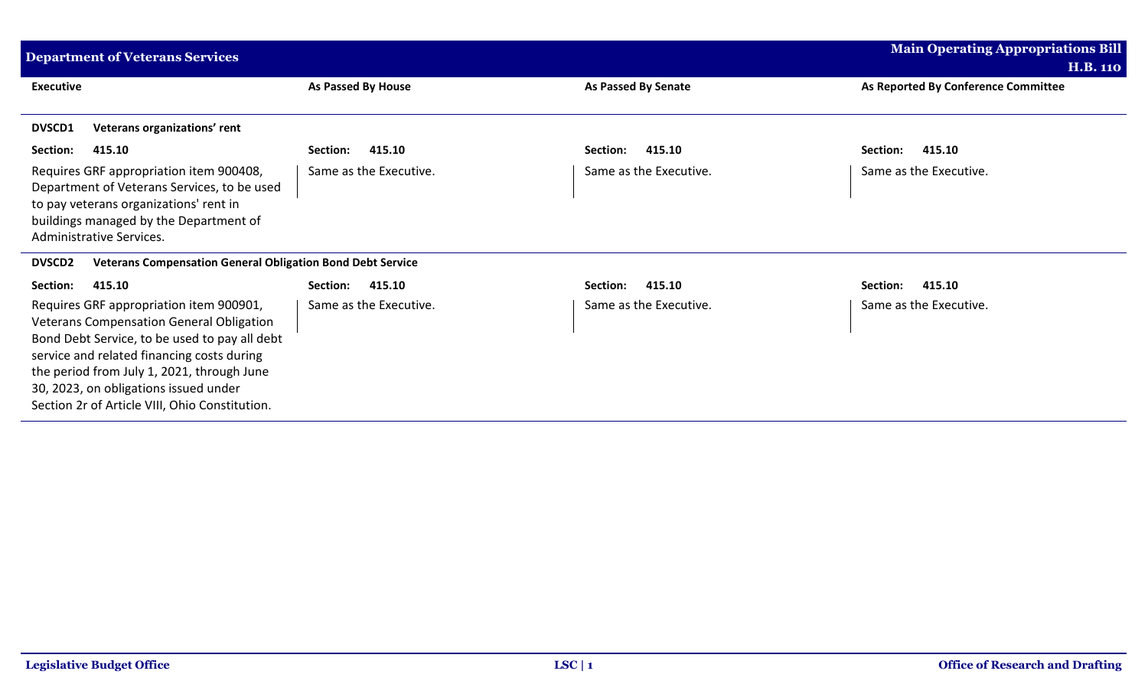| <b>Department of Veterans Services</b>                                                                                                                                                                                                                                                                                             | <b>Main Operating Appropriations Bill</b> |                            |                                     |  |
|------------------------------------------------------------------------------------------------------------------------------------------------------------------------------------------------------------------------------------------------------------------------------------------------------------------------------------|-------------------------------------------|----------------------------|-------------------------------------|--|
|                                                                                                                                                                                                                                                                                                                                    |                                           |                            | <b>H.B. 110</b>                     |  |
| <b>Executive</b>                                                                                                                                                                                                                                                                                                                   | As Passed By House                        | <b>As Passed By Senate</b> | As Reported By Conference Committee |  |
| DVSCD1<br>Veterans organizations' rent                                                                                                                                                                                                                                                                                             |                                           |                            |                                     |  |
| 415.10<br>Section:                                                                                                                                                                                                                                                                                                                 | 415.10<br>Section:                        | 415.10<br>Section:         | 415.10<br>Section:                  |  |
| Requires GRF appropriation item 900408,<br>Department of Veterans Services, to be used<br>to pay veterans organizations' rent in<br>buildings managed by the Department of<br>Administrative Services.                                                                                                                             | Same as the Executive.                    | Same as the Executive.     | Same as the Executive.              |  |
| <b>Veterans Compensation General Obligation Bond Debt Service</b><br><b>DVSCD2</b>                                                                                                                                                                                                                                                 |                                           |                            |                                     |  |
| 415.10<br>Section:                                                                                                                                                                                                                                                                                                                 | Section:<br>415.10                        | Section:<br>415.10         | Section:<br>415.10                  |  |
| Requires GRF appropriation item 900901,<br><b>Veterans Compensation General Obligation</b><br>Bond Debt Service, to be used to pay all debt<br>service and related financing costs during<br>the period from July 1, 2021, through June<br>30, 2023, on obligations issued under<br>Section 2r of Article VIII, Ohio Constitution. | Same as the Executive.                    | Same as the Executive.     | Same as the Executive.              |  |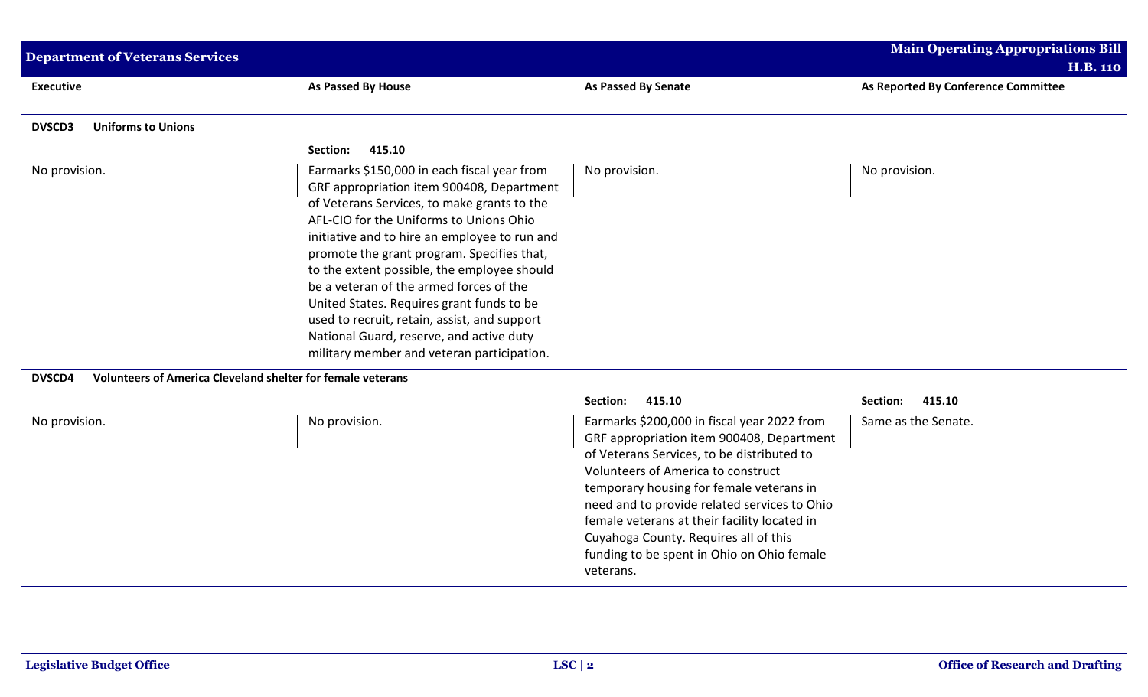| <b>Department of Veterans Services</b>                                              |                                                                                                                                                                                                                                                                                                                                                                                                                                                                                                                                                                    |                                                                                                                                                                                                                                                                                                                                                                                                                              | <b>Main Operating Appropriations Bill</b><br><b>H.B. 110</b> |
|-------------------------------------------------------------------------------------|--------------------------------------------------------------------------------------------------------------------------------------------------------------------------------------------------------------------------------------------------------------------------------------------------------------------------------------------------------------------------------------------------------------------------------------------------------------------------------------------------------------------------------------------------------------------|------------------------------------------------------------------------------------------------------------------------------------------------------------------------------------------------------------------------------------------------------------------------------------------------------------------------------------------------------------------------------------------------------------------------------|--------------------------------------------------------------|
| <b>Executive</b>                                                                    | As Passed By House                                                                                                                                                                                                                                                                                                                                                                                                                                                                                                                                                 | <b>As Passed By Senate</b>                                                                                                                                                                                                                                                                                                                                                                                                   | As Reported By Conference Committee                          |
| <b>Uniforms to Unions</b><br><b>DVSCD3</b>                                          |                                                                                                                                                                                                                                                                                                                                                                                                                                                                                                                                                                    |                                                                                                                                                                                                                                                                                                                                                                                                                              |                                                              |
|                                                                                     | 415.10<br>Section:                                                                                                                                                                                                                                                                                                                                                                                                                                                                                                                                                 |                                                                                                                                                                                                                                                                                                                                                                                                                              |                                                              |
| No provision.                                                                       | Earmarks \$150,000 in each fiscal year from<br>GRF appropriation item 900408, Department<br>of Veterans Services, to make grants to the<br>AFL-CIO for the Uniforms to Unions Ohio<br>initiative and to hire an employee to run and<br>promote the grant program. Specifies that,<br>to the extent possible, the employee should<br>be a veteran of the armed forces of the<br>United States. Requires grant funds to be<br>used to recruit, retain, assist, and support<br>National Guard, reserve, and active duty<br>military member and veteran participation. | No provision.                                                                                                                                                                                                                                                                                                                                                                                                                | No provision.                                                |
| <b>Volunteers of America Cleveland shelter for female veterans</b><br><b>DVSCD4</b> |                                                                                                                                                                                                                                                                                                                                                                                                                                                                                                                                                                    |                                                                                                                                                                                                                                                                                                                                                                                                                              |                                                              |
|                                                                                     |                                                                                                                                                                                                                                                                                                                                                                                                                                                                                                                                                                    | 415.10<br>Section:                                                                                                                                                                                                                                                                                                                                                                                                           | 415.10<br>Section:                                           |
| No provision.                                                                       | No provision.                                                                                                                                                                                                                                                                                                                                                                                                                                                                                                                                                      | Earmarks \$200,000 in fiscal year 2022 from<br>GRF appropriation item 900408, Department<br>of Veterans Services, to be distributed to<br>Volunteers of America to construct<br>temporary housing for female veterans in<br>need and to provide related services to Ohio<br>female veterans at their facility located in<br>Cuyahoga County. Requires all of this<br>funding to be spent in Ohio on Ohio female<br>veterans. | Same as the Senate.                                          |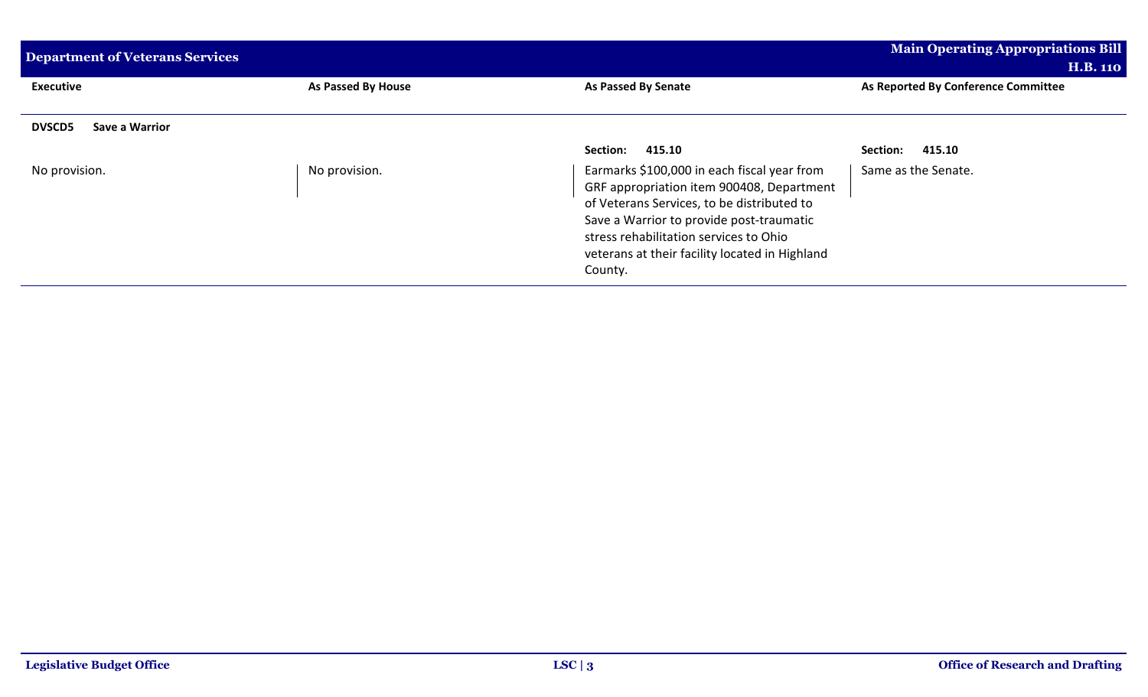| <b>Department of Veterans Services</b> | <b>Main Operating Appropriations Bill</b><br><b>H.B. 110</b> |                                                                                                                                                                                                                                                                                           |                                     |  |
|----------------------------------------|--------------------------------------------------------------|-------------------------------------------------------------------------------------------------------------------------------------------------------------------------------------------------------------------------------------------------------------------------------------------|-------------------------------------|--|
|                                        |                                                              |                                                                                                                                                                                                                                                                                           |                                     |  |
| <b>Executive</b>                       | As Passed By House                                           | As Passed By Senate                                                                                                                                                                                                                                                                       | As Reported By Conference Committee |  |
|                                        |                                                              |                                                                                                                                                                                                                                                                                           |                                     |  |
| <b>DVSCD5</b><br>Save a Warrior        |                                                              |                                                                                                                                                                                                                                                                                           |                                     |  |
|                                        |                                                              | Section:<br>415.10                                                                                                                                                                                                                                                                        | Section:<br>415.10                  |  |
| No provision.                          | No provision.                                                | Earmarks \$100,000 in each fiscal year from<br>GRF appropriation item 900408, Department<br>of Veterans Services, to be distributed to<br>Save a Warrior to provide post-traumatic<br>stress rehabilitation services to Ohio<br>veterans at their facility located in Highland<br>County. | Same as the Senate.                 |  |